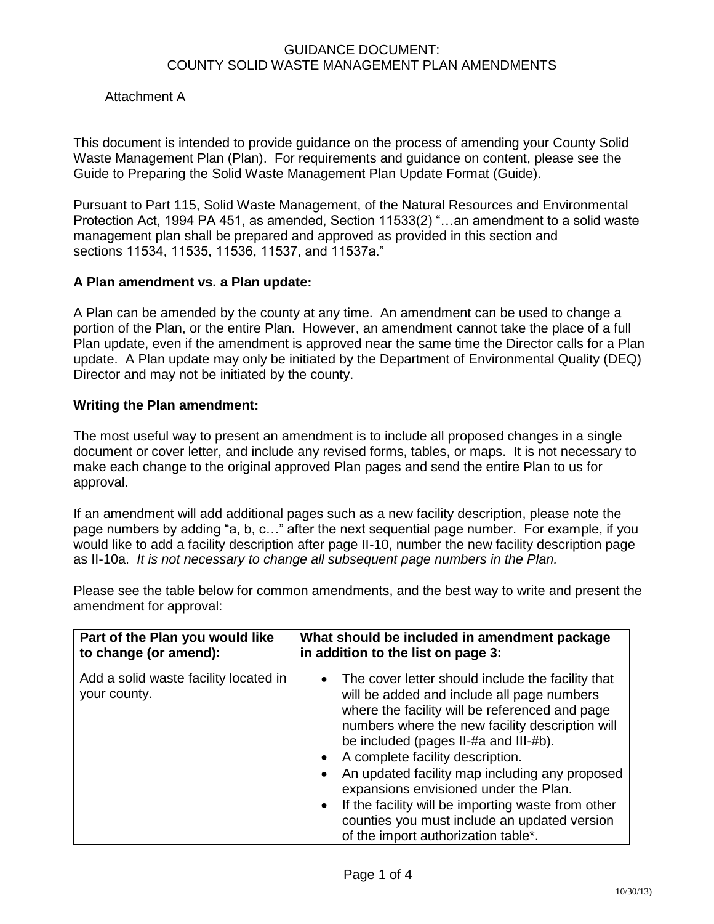# Attachment A

This document is intended to provide guidance on the process of amending your County Solid Waste Management Plan (Plan). For requirements and guidance on content, please see the Guide to Preparing the Solid Waste Management Plan Update Format (Guide).

Pursuant to Part 115, Solid Waste Management, of the Natural Resources and Environmental Protection Act, 1994 PA 451, as amended, Section 11533(2) "…an amendment to a solid waste management plan shall be prepared and approved as provided in this section and sections 11534, 11535, 11536, 11537, and 11537a."

#### **A Plan amendment vs. a Plan update:**

A Plan can be amended by the county at any time. An amendment can be used to change a portion of the Plan, or the entire Plan. However, an amendment cannot take the place of a full Plan update, even if the amendment is approved near the same time the Director calls for a Plan update. A Plan update may only be initiated by the Department of Environmental Quality (DEQ) Director and may not be initiated by the county.

#### **Writing the Plan amendment:**

The most useful way to present an amendment is to include all proposed changes in a single document or cover letter, and include any revised forms, tables, or maps. It is not necessary to make each change to the original approved Plan pages and send the entire Plan to us for approval.

If an amendment will add additional pages such as a new facility description, please note the page numbers by adding "a, b, c…" after the next sequential page number. For example, if you would like to add a facility description after page II-10, number the new facility description page as II-10a. *It is not necessary to change all subsequent page numbers in the Plan.*

| Part of the Plan you would like                       | What should be included in amendment package                                                                                                                                                                                                                                                                                                                                                                                                                                                                                                                                  |
|-------------------------------------------------------|-------------------------------------------------------------------------------------------------------------------------------------------------------------------------------------------------------------------------------------------------------------------------------------------------------------------------------------------------------------------------------------------------------------------------------------------------------------------------------------------------------------------------------------------------------------------------------|
| to change (or amend):                                 | in addition to the list on page 3:                                                                                                                                                                                                                                                                                                                                                                                                                                                                                                                                            |
| Add a solid waste facility located in<br>your county. | The cover letter should include the facility that<br>$\bullet$<br>will be added and include all page numbers<br>where the facility will be referenced and page<br>numbers where the new facility description will<br>be included (pages II-#a and III-#b).<br>A complete facility description.<br>$\bullet$<br>An updated facility map including any proposed<br>$\bullet$<br>expansions envisioned under the Plan.<br>If the facility will be importing waste from other<br>$\bullet$<br>counties you must include an updated version<br>of the import authorization table*. |

Please see the table below for common amendments, and the best way to write and present the amendment for approval: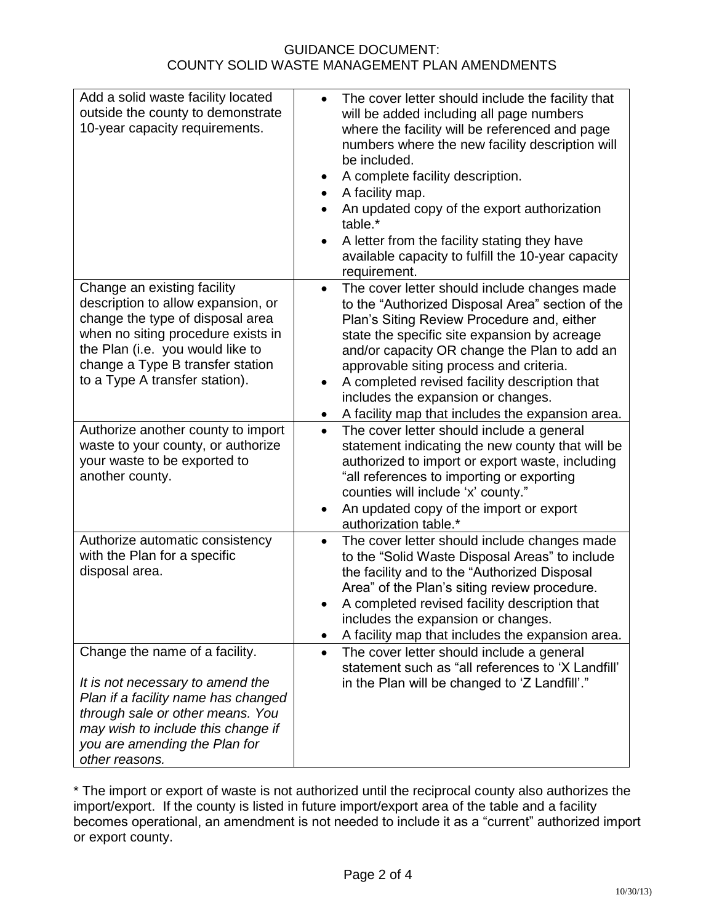| Add a solid waste facility located<br>outside the county to demonstrate<br>10-year capacity requirements.                                                                                                                                             | The cover letter should include the facility that<br>$\bullet$<br>will be added including all page numbers<br>where the facility will be referenced and page<br>numbers where the new facility description will<br>be included.<br>A complete facility description.<br>$\bullet$<br>A facility map.<br>$\bullet$<br>An updated copy of the export authorization<br>table.*<br>A letter from the facility stating they have<br>available capacity to fulfill the 10-year capacity<br>requirement. |
|-------------------------------------------------------------------------------------------------------------------------------------------------------------------------------------------------------------------------------------------------------|--------------------------------------------------------------------------------------------------------------------------------------------------------------------------------------------------------------------------------------------------------------------------------------------------------------------------------------------------------------------------------------------------------------------------------------------------------------------------------------------------|
| Change an existing facility<br>description to allow expansion, or<br>change the type of disposal area<br>when no siting procedure exists in<br>the Plan (i.e. you would like to<br>change a Type B transfer station<br>to a Type A transfer station). | The cover letter should include changes made<br>$\bullet$<br>to the "Authorized Disposal Area" section of the<br>Plan's Siting Review Procedure and, either<br>state the specific site expansion by acreage<br>and/or capacity OR change the Plan to add an<br>approvable siting process and criteria.<br>A completed revised facility description that<br>includes the expansion or changes.<br>A facility map that includes the expansion area.<br>٠                                           |
| Authorize another county to import<br>waste to your county, or authorize<br>your waste to be exported to<br>another county.                                                                                                                           | The cover letter should include a general<br>$\bullet$<br>statement indicating the new county that will be<br>authorized to import or export waste, including<br>"all references to importing or exporting<br>counties will include 'x' county."<br>An updated copy of the import or export<br>$\bullet$<br>authorization table.*                                                                                                                                                                |
| Authorize automatic consistency<br>with the Plan for a specific<br>disposal area.                                                                                                                                                                     | The cover letter should include changes made<br>$\bullet$<br>to the "Solid Waste Disposal Areas" to include<br>the facility and to the "Authorized Disposal<br>Area" of the Plan's siting review procedure.<br>A completed revised facility description that<br>includes the expansion or changes.<br>A facility map that includes the expansion area.<br>$\bullet$                                                                                                                              |
| Change the name of a facility.<br>It is not necessary to amend the<br>Plan if a facility name has changed<br>through sale or other means. You<br>may wish to include this change if<br>you are amending the Plan for<br>other reasons.                | The cover letter should include a general<br>$\bullet$<br>statement such as "all references to 'X Landfill'<br>in the Plan will be changed to 'Z Landfill'."                                                                                                                                                                                                                                                                                                                                     |

\* The import or export of waste is not authorized until the reciprocal county also authorizes the import/export. If the county is listed in future import/export area of the table and a facility becomes operational, an amendment is not needed to include it as a "current" authorized import or export county.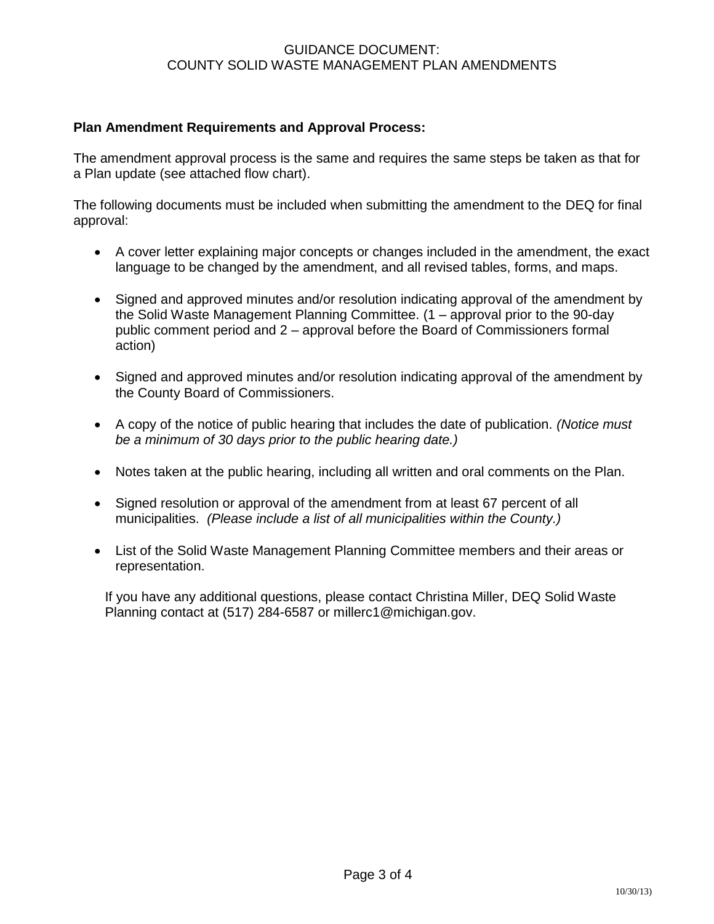# **Plan Amendment Requirements and Approval Process:**

The amendment approval process is the same and requires the same steps be taken as that for a Plan update (see attached flow chart).

The following documents must be included when submitting the amendment to the DEQ for final approval:

- A cover letter explaining major concepts or changes included in the amendment, the exact language to be changed by the amendment, and all revised tables, forms, and maps.
- Signed and approved minutes and/or resolution indicating approval of the amendment by the Solid Waste Management Planning Committee. (1 – approval prior to the 90-day public comment period and 2 – approval before the Board of Commissioners formal action)
- Signed and approved minutes and/or resolution indicating approval of the amendment by the County Board of Commissioners.
- A copy of the notice of public hearing that includes the date of publication. *(Notice must be a minimum of 30 days prior to the public hearing date.)*
- Notes taken at the public hearing, including all written and oral comments on the Plan.
- Signed resolution or approval of the amendment from at least 67 percent of all municipalities. *(Please include a list of all municipalities within the County.)*
- List of the Solid Waste Management Planning Committee members and their areas or representation.

If you have any additional questions, please contact Christina Miller, DEQ Solid Waste Planning contact at (517) 284-6587 or millerc1@michigan.gov.